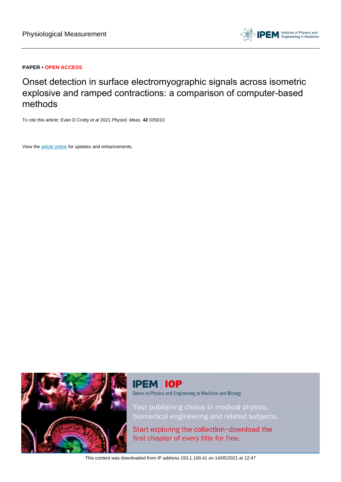

## **PAPER • OPEN ACCESS**

Onset detection in surface electromyographic signals across isometric explosive and ramped contractions: a comparison of computer-based methods

To cite this article: Evan D Crotty et al 2021 Physiol. Meas. **42** 035010

View the [article online](https://doi.org/10.1088/1361-6579/abef56) for updates and enhancements.



# **IPEM IOP**

Series in Physics and Engineering in Medicine and Biology

Your publishing choice in medical physics, biomedical engineering and related subjects.

Start exploring the collection-download the first chapter of every title for free.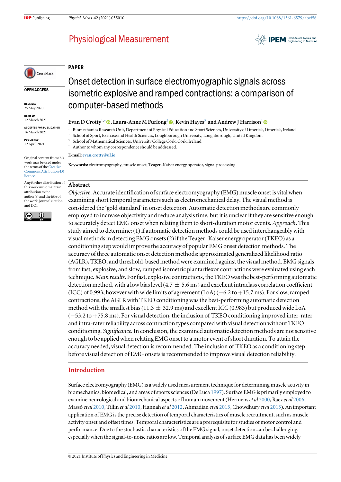**IPEM** Institute of Physics and

## **Physiological Measurement**



OPEN ACCESS

RECEIVED 25 May 2020

REVISED 12 March 2021

ACCEPTED FOR PUBLICATION

16 March 2021 PUBLISHED

12 April 2021

Original content from this work may be used under the terms of the [Creative](http://creativecommons.org/licenses/by/4.0) [Commons Attribution 4.0](http://creativecommons.org/licenses/by/4.0) **licence** 

Any further distribution of this work must maintain attribution to the author(s) and the title of the work, journal citation and DOI.



Onset detection in surface electromyographic signals across isometric explosive and ramped contractions: a comparison of computer-based methods

#### Evan D Crotty<sup>1,∗</sup> (**.**, Laura-Anne M Furlong<sup>2</sup> (**.**), Kevin Hayes<sup>3</sup> and Andrew J Harrison<sup>1</sup> (**...**)

<sup>1</sup> Biomechanics Research Unit, Department of Physical Education and Sport Sciences, University of Limerick, Limerick, Ireland

<sup>2</sup> School of Sport, Exercise and Health Sciences, Loughborough University, Loughborough, United Kingdom

<sup>3</sup> School of Mathematical Sciences, University College Cork, Cork, Ireland

Author to whom any correspondence should be addressed.

#### E-mail: [evan.crotty@ul.ie](mailto:evan.crotty@ul.ie)

Keywords: electromyography, muscle onset, Teager–Kaiser energy operator, signal processing

## Abstract

PAPER

Objective. Accurate identification of surface electromyography (EMG) muscle onset is vital when examining short temporal parameters such as electromechanical delay. The visual method is considered the 'gold standard' in onset detection. Automatic detection methods are commonly employed to increase objectivity and reduce analysis time, but it is unclear if they are sensitive enough to accurately detect EMG onset when relating them to short-duration motor events. Approach. This study aimed to determine: (1) if automatic detection methods could be used interchangeably with visual methods in detecting EMG onsets(2)if the Teager–Kaiser energy operator(TKEO) as a conditioning step would improve the accuracy of popular EMG onset detection methods. The accuracy of three automatic onset detection methods: approximated generalized likelihood ratio (AGLR), TKEO, and threshold-based method were examined against the visual method. EMG signals from fast, explosive, and slow, ramped isometric plantarflexor contractions were evaluated using each technique. Main results. For fast, explosive contractions, the TKEO was the best-performing automatic detection method, with a low bias level (4.7  $\pm$  5.6 ms) and excellent intraclass correlation coefficient (ICC) of 0.993, however with wide limits of agreement (LoA) (−6.2 to +15.7 ms). For slow, ramped contractions, the AGLR with TKEO conditioning was the best-performing automatic detection method with the smallest bias (11.3  $\pm$  32.9 ms) and excellent ICC (0.983) but produced wide LoA (−53.2 to +75.8 ms). For visual detection, the inclusion of TKEO conditioning improved inter-rater and intra-rater reliability across contraction types compared with visual detection without TKEO conditioning. Significance. In conclusion, the examined automatic detection methods are not sensitive enough to be applied when relating EMG onset to a motor event of short duration. To attain the accuracy needed, visual detection is recommended. The inclusion of TKEO as a conditioning step before visual detection of EMG onsets is recommended to improve visual detection reliability.

## Introduction

Surface electromyography (EMG) is a widely used measurement technique for determining muscle activity in biomechanics, biomedical, and areas of sports sciences(De Luca [1997](#page-13-0)). Surface EMG is primarily employed to examine neurological and biomechanical aspects of human movement (Hermens et al [2000](#page-13-0), Raez et al [2006](#page-14-0), Massó et al [2010,](#page-14-0) Tillin et al [2010](#page-14-0), Hannah et al [2012,](#page-13-0) Ahmadian et al [2013,](#page-13-0) Chowdhury et al [2013](#page-13-0)). An important application of EMG is the precise detection of temporal characteristics of muscle recruitment, such as muscle activity onset and offset times. Temporal characteristics are a prerequisite for studies of motor control and performance. Due to the stochastic characteristics of the EMG signal, onset detection can be challenging, especially when the signal-to-noise ratios are low. Temporal analysis of surface EMG data has been widely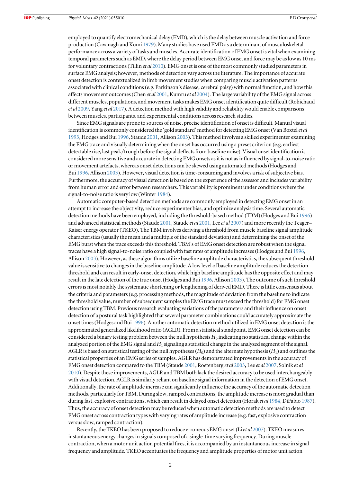employed to quantify electromechanical delay (EMD), which is the delay between muscle activation and force production (Cavanagh and Komi [1979](#page-13-0)). Many studies have used EMD as a determinant of musculoskeletal performance across a variety of tasks and muscles. Accurate identification of EMG onset is vital when examining temporal parameters such as EMD, where the delay period between EMG onset and force may be as low as 10 ms for voluntary contractions (Tillin et al [2010](#page-14-0)). EMG onset is one of the most commonly studied parameters in surface EMG analysis; however, methods of detection vary across the literature. The importance of accurate onset detection is contextualized in limb movement studies when comparing muscle activation patterns associated with clinical conditions(e.g. Parkinson's disease, cerebral palsy)with normal function, and how this affects movement outcomes (Chen et al [2001](#page-13-0), Kumru et al [2004](#page-14-0)). The large variability of the EMG signal across different muscles, populations, and movement tasks makes EMG onset identification quite difficult (Robichaud et al [2009](#page-14-0), Yang et al [2017](#page-14-0)). A detection method with high validity and reliability would enable comparisons between muscles, participants, and experimental conditions across research studies.

Since EMG signals are prone to sources of noise, precise identification of onset is difficult. Manual visual identification is commonly considered the 'gold standard' method for detecting EMG onset (Van Boxtel et al [1993](#page-13-0), Hodges and Bui [1996,](#page-14-0) Staude [2001,](#page-14-0) Allison [2003](#page-13-0)). This method involves a skilled experimenter examining the EMG trace and visually determining when the onset has occurred using a preset criterion (e.g. earliest detectable rise, last peak/trough before the signal deflects from baseline noise). Visual onset identification is considered more sensitive and accurate in detecting EMG onsets as it is not as influenced by signal-to-noise ratio or movement artefacts, whereas onset detections can be skewed using automated methods(Hodges and Bui [1996,](#page-14-0) Allison [2003](#page-13-0)). However, visual detection is time-consuming and involves a risk of subjective bias. Furthermore, the accuracy of visual detection is based on the experience of the assessor and includes variability from human error and error between researchers. This variability is prominent under conditions where the signal-to-noise ratio is very low(Winter [1984](#page-14-0)).

Automatic computer-based detection methods are commonly employed in detecting EMG onset in an attempt to increase the objectivity, reduce experimenter bias, and optimize analysis time. Several automatic detection methods have been employed, including the threshold-based method (TBM) (Hodges and Bui [1996](#page-14-0)) and advanced statistical methods (Staude [2001,](#page-14-0) Staude et al 2001, Lee et al [2007](#page-14-0)) and more recently the Teager– Kaiser energy operator(TKEO). The TBM involves deriving a threshold from muscle baseline signal amplitude characteristics(usually the mean and a multiple of the standard deviation) and determining the onset of the EMG burst when the trace exceeds this threshold. TBM's of EMG onset detection are robust when the signal traces have a high signal-to-noise ratio coupled with fast rates of amplitude increases(Hodges and Bui [1996,](#page-14-0) Allison [2003](#page-13-0)). However, as these algorithms utilize baseline amplitude characteristics, the subsequent threshold value is sensitive to changes in the baseline amplitude. A low level of baseline amplitude reduces the detection threshold and can result in early-onset detection, while high baseline amplitude has the opposite effect and may result in the late detection of the true onset(Hodges and Bui [1996](#page-14-0), Allison [2003](#page-13-0)). The outcome of such threshold errors is most notably the systematic shortening or lengthening of derived EMD. There is little consensus about the criteria and parameters(e.g. processing methods, the magnitude of deviation from the baseline to indicate the threshold value, number of subsequent samples the EMG trace must exceed the threshold) for EMG onset detection using TBM. Previous research evaluating variations of the parameters and their influence on onset detection of a postural task highlighted that several parameter combinations could accurately approximate the onset times(Hodges and Bui [1996](#page-14-0)). Another automatic detection method utilized in EMG onset detection is the approximated generalized likelihood ratio (AGLR). From a statistical standpoint, EMG onset detection can be considered a binary testing problem between the null hypothesis  $H_0$  indicating no statistical change within the analyzed portion of the EMG signal and  $H_1$  signaling a statistical change in the analyzed segment of the signal. AGLR is based on statistical testing of the null hypotheses ( $H_0$ ) and the alternate hypothesis ( $H_1$ ) and outlines the statistical properties of an EMG series of samples. AGLR has demonstrated improvements in the accuracy of EMG onset detection compared to the TBM (Staude [2001](#page-14-0), Roetenberg et al [2003,](#page-14-0) Lee et al [2007,](#page-14-0) Solnik et al [2010](#page-14-0)). Despite these improvements, AGLR and TBM both lack the desired accuracy to be used interchangeably with visual detection. AGLR is similarly reliant on baseline signal information in the detection of EMG onset. Additionally, the rate of amplitude increase can significantly influence the accuracy of the automatic detection methods, particularly for TBM. During slow, ramped contractions, the amplitude increase is more gradual than during fast, explosive contractions, which can result in delayed onset detection (Horak et al [1984](#page-14-0), DiFabio [1987](#page-13-0)). Thus, the accuracy of onset detection may be reduced when automatic detection methods are used to detect EMG onset across contraction types with varying rates of amplitude increase (e.g. fast, explosive contraction versus slow, ramped contraction).

Recently, the TKEO has been proposed to reduce erroneous EMG onset (Liet al [2007](#page-14-0)). TKEO measures instantaneous energy changes in signals composed of a single-time varying frequency. During muscle contraction, when a motor unit action potential fires, it is accompanied by an instantaneous increase in signal frequency and amplitude. TKEO accentuates the frequency and amplitude properties of motor unit action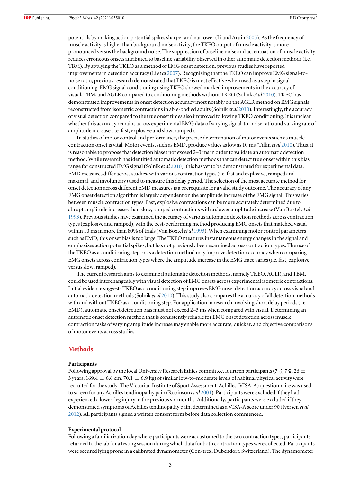potentials by making action potential spikes sharper and narrower (Li and Aruin [2005](#page-14-0)). As the frequency of muscle activity is higher than background noise activity, the TKEO output of muscle activity is more pronounced versus the background noise. The suppression of baseline noise and accentuation of muscle activity reduces erroneous onsets attributed to baseline variability observed in other automatic detection methods(i.e. TBM). By applying the TKEO as a method of EMG onset detection, previous studies have reported improvements in detection accuracy (Li et al [2007](#page-14-0)). Recognizing that the TKEO can improve EMG signal-tonoise ratio, previous research demonstrated that TKEO is most effective when used as a step in signal conditioning. EMG signal conditioning using TKEO showed marked improvements in the accuracy of visual, TBM, and AGLR compared to conditioning methods without TKEO (Solnik et al [2010](#page-14-0)). TKEO has demonstrated improvements in onset detection accuracy most notably on the AGLR method on EMG signals reconstructed from isometric contractions in able-bodied adults (Solnik et al [2010](#page-14-0)). Interestingly, the accuracy of visual detection compared to the true onset times also improved following TKEO conditioning. It is unclear whether this accuracy remains across experimental EMG data of varying signal-to-noise ratio and varying rate of amplitude increase (i.e. fast, explosive and slow, ramped).

In studies of motor control and performance, the precise determination of motor events such as muscle contraction onset is vital. Motor events, such as EMD, produce values as low as 10 ms (Tillin et al [2010](#page-14-0)). Thus, it is reasonable to propose that detection biases not exceed 2–3 ms in order to validate an automatic detection method. While research has identified automatic detection methods that can detect true onset within this bias range for constructed EMG signal (Solnik et al [2010](#page-14-0)), this has yet to be demonstrated for experimental data. EMD measures differ across studies, with various contraction types(i.e. fast and explosive, ramped and maximal, and involuntary) used to measure this delay period. The selection of the most accurate method for onset detection across different EMD measures is a prerequisite for a valid study outcome. The accuracy of any EMG onset detection algorithm is largely dependent on the amplitude increase of the EMG signal. This varies between muscle contraction types. Fast, explosive contractions can be more accurately determined due to abrupt amplitude increases than slow, ramped contractions with a slower amplitude increase (Van Boxtel et al [1993](#page-13-0)). Previous studies have examined the accuracy of various automatic detection methods across contraction types(explosive and ramped), with the best-performing method producing EMG onsets that matched visual within 10 ms in more than 80% of trials (Van Boxtel *et al* [1993](#page-13-0)). When examining motor control parameters such as EMD, this onset bias is too large. The TKEO measures instantaneous energy changes in the signal and emphasizes action potential spikes, but has not previously been examined across contraction types. The use of the TKEO as a conditioning step or as a detection method may improve detection accuracy when comparing EMG onsets across contraction types where the amplitude increase in the EMG trace varies(i.e. fast, explosive versus slow, ramped).

The current research aims to examine if automatic detection methods, namely TKEO, AGLR, and TBM, could be used interchangeably with visual detection of EMG onsets across experimental isometric contractions. Initial evidence suggests TKEO as a conditioning step improves EMG onset detection accuracy across visual and automatic detection methods (Solnik et al [2010](#page-14-0)). This study also compares the accuracy of all detection methods with and without TKEO as a conditioning step. For application in research involving short delay periods (i.e. EMD), automatic onset detection bias must not exceed 2–3 ms when compared with visual. Determining an automatic onset detection method that is consistently reliable for EMG onset detection across muscle contraction tasks of varying amplitude increase may enable more accurate, quicker, and objective comparisons of motor events across studies.

## **Methods**

#### Participants

Following approval by the local University Research Ethics committee, fourteen participants (7  $\sigma$ , 7  $\phi$ , 26  $\pm$ 3 years, 169.4  $\pm$  6.6 cm, 70.1  $\pm$  6.9 kg) of similar low-to-moderate levels of habitual physical activity were recruited for the study. The Victorian Institute of Sport Assessment-Achilles(VISA-A) questionnaire was used to screen for any Achilles tendinopathy pain (Robinson et al [2001](#page-14-0)). Participants were excluded if they had experienced a lower-leg injury in the previous six months. Additionally, participants were excluded if they demonstrated symptoms of Achilles tendinopathy pain, determined as a VISA-A score under 90 (Iversen et al [2012](#page-14-0)). All participants signed a written consent form before data collection commenced.

#### Experimental protocol

Following a familiarization day where participants were accustomed to the two contraction types, participants returned to the lab for a testing session during which data for both contraction types were collected. Participants were secured lying prone in a calibrated dynamometer(Con-trex, Dubendorf, Switzerland). The dynamometer

3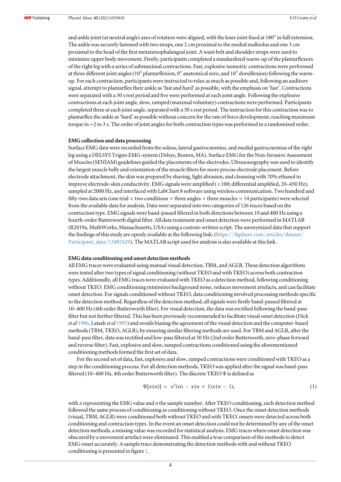and ankle joint (at neutral angle) axes of rotation were aligned, with the knee joint fixed at 180° in full extension. The ankle was securely fastened with two straps, one 2 cm proximal to the medial malleolus and one 3 cm proximal to the head of the first metatarsophalangeal joint. A waist belt and shoulder straps were used to minimize upper body movement. Firstly, participants completed a standardized warm-up of the plantarflexors of the right leg with a series of submaximal contractions. Fast, explosive isometric contractions were performed at three different joint angles (10 $^{\circ}$  plantarflexion, 0 $^{\circ}$  anatomical zero, and 10 $^{\circ}$  dorsiflexion) following the warmup. For each contraction, participants were instructed to relax as much as possible and, following an auditory signal, attempt to plantarflex their ankle as'fast and hard' as possible, with the emphasis on 'fast'. Contractions were separated with a 30 s rest period and five were performed at each joint angle. Following the explosive contractions at each joint angle, slow, ramped (maximal voluntary) contractions were performed. Participants completed three at each joint angle, separated with a 30 s rest period. The instruction for this contraction was to plantarflex the ankle as'hard' as possible without concern for the rate of force development, reaching maximum torque in∼2 to 3 s. The order of joint angles for both contraction types was performed in a randomized order.

#### EMG collection and data processing

Surface EMG data were recorded from the soleus, lateral gastrocnemius, and medial gastrocnemius of the right leg using a DELSYS Trigno EMG-system (Delsys, Boston, MA). Surface EMG for the Non-Invasive Assessment of Muscles(SENIAM) guidelines guided the placements of the electrodes. Ultrasonography was used to identify the largest muscle belly and orientation of the muscle fibers for more precise electrode placement. Before electrode attachment, the skin was prepared by shaving, light abrasion, and cleansing with 70% ethanol to improve electrode-skin conductivity. EMG signals were amplified (×100; differential amplified, 20–450 Hz), sampled at 2000 Hz, and interfaced with LabChart 8 software using wireless communication. Two hundred and fifty-two data sets (one trial  $\times$  two conditions  $\times$  three angles  $\times$  three muscles  $\times$  14 participants) were selected from the available data for analysis. Data were separated into two categories of 126 traces based on the contraction type. EMG signals were band-passed filtered in both directions between 10 and 400 Hz using a fourth-order Butterworth digital filter. All data treatment and onset detection were performed in MATLAB (R2019a, MathWorks, Massachusetts, USA) using a custom-written script. The anonymized data that support the findings of this study are openly available at the following link: (https://fi[gshare.com](https://figshare.com/articles/dataset/Participant_data/13482429)/articles/dataset/ [Participant\\_data](https://figshare.com/articles/dataset/Participant_data/13482429)/13482429). The MATLAB script used for analysis is also available at this link.

#### EMG data conditioning and onset detection methods

All EMG traces were evaluated using manual visual detection, TBM, and AGLR. These detection algorithms were tested after two types of signal conditioning (without TKEO and with TKEO) across both contraction types. Additionally, all EMG traces were evaluated with TKEO as a detection method, following conditioning without TKEO. EMG conditioning minimizes background noise, reduces movement artefacts, and can facilitate onset detection. For signals conditioned without TKEO, data conditioning involved processing methods specific to the detection method. Regardless of the detection method, all signals were firstly band-passed filtered at 10–400 Hz (4th order Butterworth filter). For visual detection, the data was rectified following the band-pass filter but not further filtered. This has been previously recommended to facilitate visual onset detection (Dick et al [1986](#page-13-0), Latash et al [1995](#page-14-0)) and avoids biasing the agreement of the visual detection and the computer-based methods(TBM, TKEO, AGLR), by ensuring similar filtering methods are used. For TBM and AGLR, after the band-pass filter, data was rectified and low-pass filtered at 50 Hz (2nd order Butterworth, zero-phase forward and reverse filter). Fast, explosive and slow, ramped contractions conditioned using the aforementioned conditioning methods formed the first set of data.

For the second set of data, fast, explosive and slow, ramped contractions were conditioned with TKEO as a step in the conditioning process. For all detection methods, TKEO was applied after the signal was band-pass filtered (10–400 Hz, 4th order Butterworth filter). The discrete TKEO Ψis defined as

$$
\Psi[x(n)] = x^2(n) - x(n+1)x(n-1),\tag{1}
$$

with x representing the EMG value and  $n$  the sample number. After TKEO conditioning, each detection method followed the same process of conditioning as conditioning without TKEO. Once the onset detection methods (visual, TBM, AGLR)were conditioned both without TKEO and with TKEO, onsets were detected across both conditioning and contraction types. In the event an onset detection could not be determined by any of the onset detection methods, a missing value was recorded for statistical analysis. EMG traces where onset detection was obscured by a movement artefact were eliminated. This enabled a true comparison of the methods to detect EMG onset accurately. A sample trace demonstrating the detection methods with and without TKEO conditioning is presented in figure [1](#page-5-0).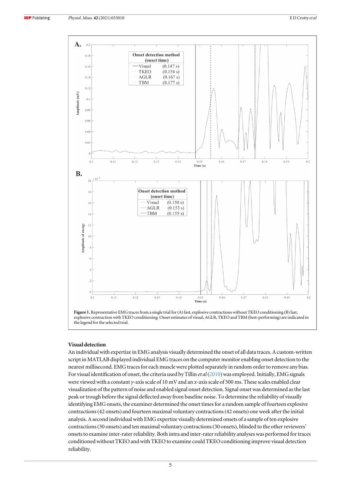<span id="page-5-0"></span>

![](_page_5_Figure_4.jpeg)

### Visual detection

An individual with expertize in EMG analysis visually determined the onset of all data traces. A custom-written script in MATLAB displayed individual EMG traces on the computer monitor enabling onset detection to the nearest millisecond. EMG traces for each muscle were plotted separately in random order to remove any bias. For visual identification of onset, the criteria used by Tillin *et al* ([2010](#page-14-0)) was employed. Initially, EMG signals were viewed with a constant  $y$ -axis scale of 10 mV and an x-axis scale of 500 ms. These scales enabled clear visualization of the pattern of noise and enabled signal onset detection. Signal onset was determined as the last peak or trough before the signal deflected away from baseline noise. To determine the reliability of visually identifying EMG onsets, the examiner determined the onset times for a random sample of fourteen explosive contractions(42 onsets) and fourteen maximal voluntary contractions(42 onsets) one week after the initial analysis. A second individual with EMG expertize visually determined onsets of a sample of ten explosive contractions(30 onsets) and ten maximal voluntary contractions(30 onsets), blinded to the other reviewers' onsets to examine inter-rater reliability. Both intra and inter-rater reliability analyses was performed for traces conditioned without TKEO and with TKEO to examine could TKEO conditioning improve visual detection reliability.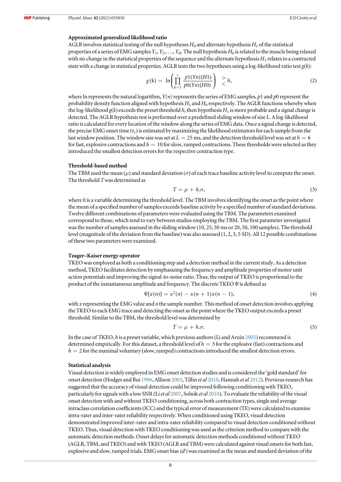#### Approximated generalized likelihood ratio

AGLR involves statistical testing of the null hypotheses  $H_0$  and alternate hypothesis  $H_1$  of the statistical properties of a series of EMG samples  $Y_1, Y_2,..., Y_R$ . The null hypothesis  $H_0$  is related to the muscle being relaxed with no change in the statistical properties of the sequence and the alternate hypothesis  $H_1$  relates to a contracted state with a change in statistical properties. AGLR tests the two hypotheses using a log-likelihood ratio test  $g(k)$ :

$$
g(k) = \ln \left( \prod_{k=1}^{r} \frac{p(1Yn)|H1)}{p(0Yn)|H0} \right) \geq h,
$$
\n(2)

where ln represents the natural logarithm,  $Y(n)$  represents the series of EMG samples, p1 and p0 represent the probability density function aligned with hypothesis  $H_1$  and  $H_0$  respectively. The AGLR functions whereby when the log-likelihood  $g(k)$  exceeds the preset threshold h, then hypothesis  $H_1$  is more probable and a signal change is detected. The AGLR hypothesis test is performed over a predefined sliding window of size L. A log-likelihood ratio is calculated for every location of the window along the series of EMG data. Once a signal change is detected, the precise EMG onset time  $(t_1)$  is estimated by maximizing the likelihood estimators for each sample from the last window position. The window size was set at  $L = 25$  ms, and the detection threshold level was set at  $h = 6$ for fast, explosive contractions and  $h = 10$  for slow, ramped contractions. These thresholds were selected as they introduced the smallest detection errors for the respective contraction type.

#### Threshold-based method

The TBM used the mean ( $\mu$ ) and standard deviation ( $\sigma$ ) of each trace baseline activity level to compute the onset. The threshold Twas determined as

$$
T = \mu + h.\sigma,\tag{3}
$$

where h is a variable determining the threshold level. The TBM involves identifying the onset as the point where the mean of a specified number of samples exceeds baseline activity by a specified number of standard deviations. Twelve different combinations of parameters were evaluated using the TBM. The parameters examined correspond to those, which tend to vary between studies employing the TBM. The first parameter investigated was the number of samples assessed in the sliding window(10, 25, 50 ms or 20, 50, 100 samples). The threshold level (magnitude of the deviation from the baseline) was also assessed  $(1, 2, 3, 5 SD)$ . All 12 possible combinations of these two parameters were examined.

#### Teager–Kaiser energy operator

TKEO was employed as both a conditioning step and a detection method in the current study. As a detection method, TKEO facilitates detection by emphasizing the frequency and amplitude properties of motor unit action potentials and improving the signal-to-noise ratio. Thus, the output of TKEO is proportional to the product of the instantaneous amplitude and frequency. The discrete TKEO  $\Psi$  is defined as

$$
\Psi[x(n)] = x^2(n) - x(n+1)x(n-1),\tag{4}
$$

with x representing the EMG value and  $n$  the sample number. This method of onset detection involves applying the TKEO to each EMG trace and detecting the onset as the point where the TKEO output exceeds a preset threshold. Similar to the TBM, the threshold level was determined by

$$
T = \mu + h \sigma. \tag{5}
$$

In the case of TKEO, h is a preset variable, which previous authors (Li and Aruin [2005](#page-14-0)) recommend is determined empirically. For this dataset, a threshold level of  $h = 3$  for the explosive (fast) contractions and  $h = 2$  for the maximal voluntary (slow, ramped) contractions introduced the smallest detection errors.

#### Statistical analysis

Visual detection is widely employed in EMG onset detection studies and is considered the 'gold standard' for onset detection (Hodges and Bui [1996,](#page-14-0) Allison [2003](#page-13-0), Tillin et al [2010,](#page-14-0) Hannah et al [2012](#page-13-0)). Previous research has suggested that the accuracy of visual detection could be improved following conditioning with TKEO, particularly for signals with a low SNR (Liet al [2007,](#page-14-0) Solnik et al [2010](#page-14-0)). To evaluate the reliability of the visual onset detection with and without TKEO conditioning, across both contraction types, single and average intraclass correlation coefficients(ICC) and the typical error of measurement (TE)were calculated to examine intra-rater and inter-rater reliability respectively. When conditioned using TKEO, visual detection demonstrated improved inter-rater and intra-rater reliability compared to visual detection conditioned without TKEO. Thus, visual detection with TKEO conditioning was used as the criterion method to compare with the automatic detection methods. Onset delays for automatic detection methods conditioned without TKEO (AGLR, TBM, and TKEO) and with TKEO (AGLR and TBM) were calculated against visual onsets for both fast, explosive and slow, ramped trials. EMG onset bias (*đ*) was examined as the mean and standard deviation of the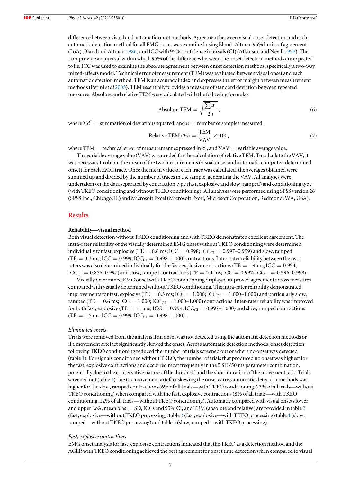difference between visual and automatic onset methods. Agreement between visual onset detection and each automatic detection method for all EMG traces was examined using Bland–Altman 95% limits of agreement (LoA) (Bland and Altman [1986](#page-13-0)) and ICC with 95% confidence intervals(CI) (Atkinson and Nevill [1998](#page-13-0)). The LoA provide an interval within which 95% of the differences between the onset detection methods are expected to lie. ICC was used to examine the absolute agreement between onset detection methods, specifically a two-way mixed-effects model. Technical error of measurement (TEM) was evaluated between visual onset and each automatic detection method. TEM is an accuracy index and expresses the error margin between measurement methods (Perini et al [2005](#page-14-0)). TEM essentially provides a measure of standard deviation between repeated measures. Absolute and relative TEM were calculated with the following formulas:

Absolute TEM = 
$$
\sqrt{\frac{\sum d^2}{2n}}
$$
, (6)

where  $\Sigma d^2$  = summation of deviations squared, and  $n =$  number of samples measured.

Relative TEM (%) = 
$$
\frac{\text{TEM}}{\text{VAV}} \times 100,
$$
 (7)

where TEM  $=$  technical error of measurement expressed in %, and VAV  $=$  variable average value.

The variable average value (VAV) was needed for the calculation of relative TEM. To calculate the VAV, it was necessary to obtain the mean of the two measurements(visual onset and automatic computer-determined onset) for each EMG trace. Once the mean value of each trace was calculated, the averages obtained were summed up and divided by the number of traces in the sample, generating the VAV. All analyses were undertaken on the data separated by contraction type (fast, explosive and slow, ramped) and conditioning type (with TKEO conditioning and without TKEO conditioning). All analyses were performed using SPSS version 26 (SPSS Inc., Chicago, IL) and Microsoft Excel (Microsoft Excel, Microsoft Corporation, Redmond, WA, USA).

## **Results**

#### Reliability—visual method

Both visual detection without TKEO conditioning and with TKEO demonstrated excellent agreement. The intra-rater reliability of the visually determined EMG onset without TKEO conditioning were determined individually for fast, explosive (TE =  $0.6$  ms; ICC =  $0.998$ ; ICC<sub>CI</sub> =  $0.997-0.999$ ) and slow, ramped (TE = 3.3 ms; ICC = 0.999; ICC<sub>CI</sub> = 0.998–1.000) contractions. Inter-rater reliability between the two raters was also determined individually for the fast, explosive contractions (TE =  $1.4$  ms; ICC =  $0.994$ ;  $ICC_{CI} = 0.856-0.997)$  and slow, ramped contractions (TE = 3.1 ms; ICC = 0.997; ICC<sub>CI</sub> = 0.996-0.998).

Visually determined EMG onset with TKEO conditioning displayed improved agreement across measures compared with visually determined without TKEO conditioning. The intra-rater reliability demonstrated improvements for fast, explosive (TE =  $0.3$  ms; ICC =  $1.000$ ; ICC<sub>CI</sub> =  $1.000$ –1.000) and particularly slow, ramped (TE = 0.6 ms; ICC = 1.000; ICC<sub>CI</sub> = 1.000–1.000) contractions. Inter-rater reliability was improved for both fast, explosive (TE = 1.1 ms; ICC = 0.999; ICC<sub>CI</sub> = 0.997-1.000) and slow, ramped contractions  $(TE = 1.5 \text{ ms}; ICC = 0.999; ICC<sub>CI</sub> = 0.998-1.000).$ 

#### Eliminated onsets

Trials were removed from the analysis if an onset was not detected using the automatic detection methods or if a movement artefact significantly skewed the onset. Across automatic detection methods, onset detection following TKEO conditioning reduced the number of trials screened out or where no onset was detected (table [1](#page-8-0)). For signals conditioned without TKEO, the number of trials that produced no onset was highest for the fast, explosive contractions and occurred most frequently in the 5 SD/50 ms parameter combination, potentially due to the conservative nature of the threshold and the short duration of the movement task. Trials screened out (table [1](#page-8-0)) due to a movement artefact skewing the onset across automatic detection methods was higher for the slow, ramped contractions (6% of all trials—with TKEO conditioning, 23% of all trials—without TKEO conditioning)when compared with the fast, explosive contractions(8% of all trials—with TKEO conditioning, 12% of all trials—without TKEO conditioning). Automatic compared with visual onsets lower and upper LoA, mean bias  $\pm$  SD, ICCs and 95% CI, and TEM (absolute and relative) are provided in table [2](#page-8-0) (fast, explosive—without TKEO processing), table [3](#page-9-0) (fast, explosive—with TKEO processing) table [4](#page-9-0) (slow, ramped—without TKEO processing) and table [5](#page-10-0) (slow, ramped—with TKEO processing).

#### Fast, explosive contractions

EMG onset analysis for fast, explosive contractions indicated that the TKEO as a detection method and the AGLR with TKEO conditioning achieved the best agreement for onset time detection when compared to visual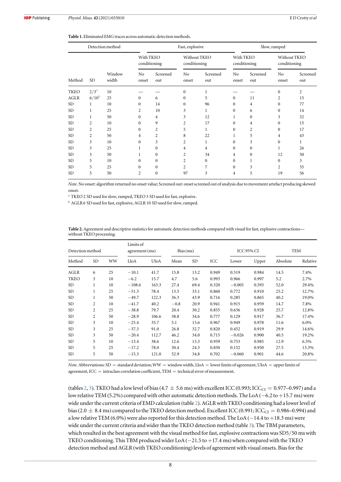<span id="page-8-0"></span>

| <b>Table 1.</b> Eliminated EMG traces across automatic detection methods. |
|---------------------------------------------------------------------------|
|---------------------------------------------------------------------------|

|             |                | Detection method |                           |                 | Fast, explosive         |                              |                         | Slow, ramped              |                         |                              |  |
|-------------|----------------|------------------|---------------------------|-----------------|-------------------------|------------------------------|-------------------------|---------------------------|-------------------------|------------------------------|--|
|             |                |                  | With TKEO<br>conditioning |                 |                         | Without TKEO<br>conditioning |                         | With TKEO<br>conditioning |                         | Without TKEO<br>conditioning |  |
| Method      | <b>SD</b>      | Window<br>width  | No<br>onset               | Screened<br>out | N <sub>o</sub><br>onset | Screened<br>out              | N <sub>o</sub><br>onset | Screened<br>out           | N <sub>o</sub><br>onset | Screened<br>out              |  |
| <b>TKEO</b> | $2/3^a$        | 10               |                           |                 | $\theta$                | 1                            |                         |                           | $\Omega$                | $\overline{2}$               |  |
| <b>AGLR</b> | $6/10^{\rm b}$ | 25               | $\Omega$                  | 6               | $\mathbf{0}$            | 5                            | $\mathbf{0}$            | 11                        | $\overline{2}$          | 15                           |  |
| <b>SD</b>   | 1              | 10               | $\Omega$                  | 14              | $\Omega$                | 96                           | $\Omega$                | 4                         | $\Omega$                | 77                           |  |
| SD.         | 1              | 25               | 2                         | 10              | 3                       | 1                            | $\Omega$                | 6                         | $\Omega$                | 14                           |  |
| <b>SD</b>   | 1              | 50               | $\Omega$                  | 4               | 3                       | 12                           | 1                       | $\mathbf{0}$              | 3                       | 32                           |  |
| <b>SD</b>   | $\overline{c}$ | 10               | $\Omega$                  | 9               | $\overline{c}$          | 17                           | $\Omega$                | 4                         | $\mathbf{0}$            | 15                           |  |
| SD.         | 2              | 25               | $\Omega$                  | 2               | 5                       | 1                            | $\Omega$                | $\overline{c}$            | $\Omega$                | 17                           |  |
| <b>SD</b>   | $\overline{2}$ | 50               | $\overline{4}$            | $\overline{c}$  | 8                       | 22                           | 1                       | 5                         | 4                       | 43                           |  |
| <b>SD</b>   | 3              | 10               | $\Omega$                  | 3               | $\overline{c}$          | 1                            | $\Omega$                | 3                         | $\mathbf{0}$            | 1                            |  |
| <b>SD</b>   | 3              | 25               | 1                         | $\mathbf{0}$    | 4                       | 4                            | $\Omega$                | $\mathbf{0}$              | 1                       | 26                           |  |
| <b>SD</b>   | 3              | 50               | 1                         | $\mathbf{0}$    | $\overline{c}$          | 34                           | 4                       | $\mathbf{0}$              | 12                      | 50                           |  |
| SD.         | 5              | 10               | $\Omega$                  | $\mathbf{0}$    | $\overline{c}$          | $\mathbf{0}$                 | $\Omega$                | 1                         | $\Omega$                | 3                            |  |
| <b>SD</b>   | 5              | 25               | $\Omega$                  | $\mathbf{0}$    | $\overline{c}$          | 7                            | $\Omega$                | 3                         | $\overline{2}$          | 35                           |  |
| <b>SD</b>   | 5              | 50               | $\overline{c}$            | $\mathbf{0}$    | 97                      | 3                            | 4                       | 5                         | 19                      | 56                           |  |

Note. No onset: algorithm returned no onset value; Screened out: onset screened out of analysis due to movement artefact producing skewed onset.

<sup>a</sup> TKEO 2 SD used for slow, ramped, TKEO 3 SD used for fast, explosive.

 $^{\rm b}$  AGLR 6 SD used for fast, explosive, AGLR 10 SD used for slow, ramped.

Table 2. Agreement and descriptive statistics for automatic detection methods compared with visual for fast, explosive contractions without TKEO processing.

| Detection method |                | Limits of<br>agreement(ms) |          | Bias(ms)    |        |           | ICC 95% CI |          | TEM   |          |          |
|------------------|----------------|----------------------------|----------|-------------|--------|-----------|------------|----------|-------|----------|----------|
| Method           | <b>SD</b>      | WW                         | LloA     | <b>UloA</b> | Mean   | <b>SD</b> | ICC        | Lower    | Upper | Absolute | Relative |
| <b>AGLR</b>      | 6              | 25                         | $-10.1$  | 41.7        | 15.8   | 13.2      | 0.949      | 0.519    | 0.984 | 14.5     | 7.4%     |
| <b>TKEO</b>      | 3              | 10                         | $-6.2$   | 15.7        | 4.7    | 5.6       | 0.993      | 0.966    | 0.997 | 5.2      | 2.7%     |
| <b>SD</b>        | 1              | 10                         | $-108.6$ | 163.3       | 27.4   | 69.4      | 0.320      | $-0.005$ | 0.593 | 52.0     | 29.4%    |
| <b>SD</b>        | 1              | 25                         | $-51.3$  | 78.4        | 13.5   | 33.1      | 0.860      | 0.772    | 0.910 | 25.2     | 12.7%    |
| <b>SD</b>        | 1              | 50                         | $-49.7$  | 122.3       | 36.3   | 43.9      | 0.716      | 0.285    | 0.865 | 40.2     | 19.0%    |
| <b>SD</b>        | 2              | 10                         | $-41.7$  | 40.2        | $-0.8$ | 20.9      | 0.941      | 0.915    | 0.959 | 14.7     | 7.8%     |
| <b>SD</b>        | $\overline{2}$ | 25                         | $-38.8$  | 79.7        | 20.4   | 30.2      | 0.855      | 0.636    | 0.928 | 25.7     | 12.8%    |
| <b>SD</b>        | 2              | 50                         | $-28.9$  | 106.6       | 38.8   | 34.6      | 0.777      | 0.129    | 0.917 | 36.7     | 17.4%    |
| <b>SD</b>        | 3              | 10                         | $-25.4$  | 35.7        | 5.1    | 15.6      | 0.967      | 0.949    | 0.978 | 11.6     | $6.0\%$  |
| <b>SD</b>        | 3              | 25                         | $-37.3$  | 91.0        | 26.8   | 32.7      | 0.820      | 0.452    | 0.919 | 29.9     | 14.6%    |
| <b>SD</b>        | 3              | 50                         | $-20.4$  | 112.7       | 46.2   | 34.0      | 0.715      | $-0.026$ | 0.900 | 40.5     | 19.2%    |
| <b>SD</b>        | 5              | 10                         | $-13.4$  | 38.6        | 12.6   | 13.3      | 0.959      | 0.753    | 0.985 | 12.9     | 6.5%     |
| <b>SD</b>        | 5              | 25                         | $-17.2$  | 78.0        | 30.4   | 24.3      | 0.850      | 0.152    | 0.950 | 27.5     | 13.3%    |
| <b>SD</b>        | 5              | 50                         | $-15.3$  | 121.0       | 52.9   | 34.8      | 0.702      | $-0.060$ | 0.901 | 44.6     | 20.8%    |

Note. Abbreviations: SD = standard deviation; WW = window width, LloA = lower limits of agreement, UloA = upper limits of agreement, ICC = intraclass correlation coefficient, TEM = technical error of measurement.

(tables 2, [3](#page-9-0)). TKEO had a low level of bias (4.7  $\pm$  5.6 ms) with excellent ICC (0.993; ICC<sub>CI</sub> = 0.977–0.997) and a low relative TEM (5.2%) compared with other automatic detection methods. The LoA (−6.2 to +15.7 ms)were wide under the current criteria of EMD calculation (table 2). AGLR with TKEO conditioning had a lower level of bias (2.0  $\pm$  8.4 ms) compared to the TKEO detection method. Excellent ICC (0.991; ICC<sub>CI</sub> = 0.986–0.994) and a low relative TEM (6.0%) were also reported for this detection method. The LoA (−14.4 to +18.3 ms) were wide under the current criteria and wider than the TKEO detection method (table [3](#page-9-0)). The TBM parameters, which resulted in the best agreement with the visual method for fast, explosive contractions was SD5/50 ms with TKEO conditioning. This TBM produced wider LoA (-21.5 to +17.4 ms) when compared with the TKEO detection method and AGLR (with TKEO conditioning) levels of agreement with visual onsets. Bias for the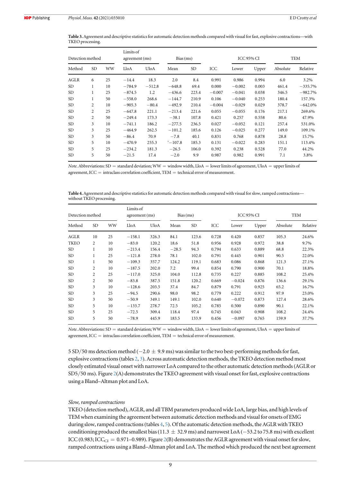<span id="page-9-0"></span>Table 3. Agreement and descriptive statistics for automatic detection methods compared with visual for fast, explosive contractions—with TKEO processing.

| Detection method |                | Limits of<br>agreement (ms) |          | Bias(ms) |                  |       | <b>ICC 95% CI</b> |          | TEM   |          |           |
|------------------|----------------|-----------------------------|----------|----------|------------------|-------|-------------------|----------|-------|----------|-----------|
| Method           | <b>SD</b>      | WW                          | LloA     | UloA     | Mean             | SD.   | ICC               | Lower    | Upper | Absolute | Relative  |
| AGLR             | 6              | 25                          | $-14.4$  | 18.3     | 2.0              | 8.4   | 0.991             | 0.986    | 0.994 | 6.0      | 3.2%      |
| <b>SD</b>        | 1              | 10                          | $-784.9$ | $-512.8$ | $-648.8$         | 69.4  | 0.000             | $-0.002$ | 0.003 | 461.4    | $-335.7%$ |
| <b>SD</b>        | 1              | 25                          | $-874.5$ | 1.2      | $-436.6$         | 223.4 | $-0.007$          | $-0.041$ | 0.038 | 346.5    | $-982.7%$ |
| <b>SD</b>        | 1              | 50                          | $-558.0$ | 268.6    | $-144.7$         | 210.9 | 0.106             | $-0.040$ | 0.253 | 180.4    | 157.3%    |
| SD.              | $\overline{2}$ | 10                          | $-905.3$ | $-80.4$  | $-492.9$         | 210.4 | $-0.004$          | $-0.029$ | 0.029 | 378.7    | $-642.0%$ |
| <b>SD</b>        | $\overline{2}$ | 25                          | $-647.8$ | 221.1    | $-213.4$         | 221.6 | 0.055             | $-0.055$ | 0.176 | 217.1    | 269.6%    |
| <b>SD</b>        | $\overline{2}$ | 50                          | $-249.4$ | 173.3    | $-38.1$          | 107.8 | 0.421             | 0.257    | 0.558 | 80.6     | 47.9%     |
| <b>SD</b>        | 3              | 10                          | $-741.1$ | 186.2    | $-277.5$         | 236.5 | 0.027             | $-0.052$ | 0.121 | 257.4    | 531.0%    |
| <b>SD</b>        | 3              | 25                          | $-464.9$ | 262.5    | $-101.2$         | 185.6 | 0.126             | $-0.025$ | 0.277 | 149.0    | 109.1%    |
| <b>SD</b>        | 3              | 50                          | $-86.4$  | 70.9     | $-7.8$           | 40.1  | 0.831             | 0.768    | 0.878 | 28.8     | 15.7%     |
| <b>SD</b>        | 5              | 10                          | $-470.9$ | 255.3    | $^{\circ}-107.8$ | 185.3 | 0.131             | $-0.022$ | 0.283 | 151.1    | 113.4%    |
| <b>SD</b>        | 5              | 25                          | $-234.2$ | 181.3    | $-26.5$          | 106.0 | 0.392             | 0.238    | 0.528 | 77.0     | 44.2%     |
| <b>SD</b>        | 5              | 50                          | $-21.5$  | 17.4     | $-2.0$           | 9.9   | 0.987             | 0.982    | 0.991 | 7.1      | 3.8%      |

Note. Abbreviations: SD = standard deviation; WW = window width, LloA = lower limits of agreement, UloA = upper limits of agreement,  $ICC = intraclass correlation coefficient, TEM = technical error of measurement.$ 

Table 4. Agreement and descriptive statistics for automatic detection methods compared with visual for slow, ramped contractions without TKEO processing.

| Detection method |                | Limits of<br>agreement (ms) |          | Bias(ms)    |         |           | <b>ICC 95% CI</b> |          | TEM   |          |          |
|------------------|----------------|-----------------------------|----------|-------------|---------|-----------|-------------------|----------|-------|----------|----------|
| Method           | SD <sub></sub> | WW                          | LloA     | <b>UloA</b> | Mean    | <b>SD</b> | ICC               | Lower    | Upper | Absolute | Relative |
| AGLR             | 10             | 25                          | $-158.1$ | 326.3       | 84.1    | 123.6     | 0.728             | 0.420    | 0.857 | 105.3    | 24.6%    |
| <b>TKEO</b>      | 2              | 10                          | $-83.0$  | 120.2       | 18.6    | 51.8      | 0.956             | 0.928    | 0.972 | 38.8     | 9.7%     |
| <b>SD</b>        | 1              | 10                          | $-213.4$ | 156.4       | $-28.5$ | 94.3      | 0.794             | 0.633    | 0.889 | 68.8     | 22.3%    |
| <b>SD</b>        | 1              | 25                          | $-121.8$ | 278.0       | 78.1    | 102.0     | 0.791             | 0.445    | 0.901 | 90.5     | 22.0%    |
| <b>SD</b>        | 1              | 50                          | $-109.3$ | 357.7       | 124.2   | 119.1     | 0.683             | 0.086    | 0.868 | 121.3    | 27.1%    |
| <b>SD</b>        | 2              | 10                          | $-187.5$ | 202.0       | 7.2     | 99.4      | 0.854             | 0.790    | 0.900 | 70.1     | 18.8%    |
| <b>SD</b>        | $\overline{c}$ | 25                          | $-117.0$ | 325.0       | 104.0   | 112.8     | 0.735             | 0.227    | 0.885 | 108.2    | 25.4%    |
| <b>SD</b>        | $\overline{c}$ | 50                          | $-83.8$  | 387.5       | 151.8   | 120.2     | 0.669             | $-0.024$ | 0.876 | 136.6    | 29.1%    |
| <b>SD</b>        | 3              | 10                          | $-128.6$ | 203.5       | 37.4    | 84.7      | 0.879             | 0.791    | 0.925 | 65.2     | 16.7%    |
| <b>SD</b>        | 3              | 25                          | $-94.5$  | 290.6       | 98.0    | 98.2      | 0.779             | 0.222    | 0.912 | 97.9     | 23.0%    |
| <b>SD</b>        | 3              | 50                          | $-50.9$  | 349.1       | 149.1   | 102.0     | 0.640             | $-0.072$ | 0.873 | 127.4    | 28.6%    |
| <b>SD</b>        | 5              | 10                          | $-133.7$ | 278.7       | 72.5    | 105.2     | 0.785             | 0.500    | 0.890 | 90.1     | 22.1%    |
| <b>SD</b>        | 5              | 25                          | $-72.5$  | 309.4       | 118.4   | 97.4      | 0.745             | 0.043    | 0.908 | 108.2    | 24.4%    |
| <b>SD</b>        | 5              | 50                          | $-78.9$  | 445.9       | 183.5   | 133.9     | 0.456             | $-0.097$ | 0.765 | 159.9    | 37.7%    |

Note. Abbreviations: SD = standard deviation; WW = window width, LloA = lower limits of agreement, UloA = upper limits of agreement,  $ICC = intraclass correlation coefficient, TEM = technical error of measurement.$ 

5 SD/50 ms detection method ( $-2.0 \pm 9.9$  ms) was similar to the two best-performing methods for fast, explosive contractions(tables [2](#page-8-0), 3). Across automatic detection methods, the TKEO detection method most closely estimated visual onset with narrower LoA compared to the other automatic detection methods(AGLR or SD5/50 ms). Figure [2](#page-10-0)(A) demonstrates the TKEO agreement with visual onset for fast, explosive contractions using a Bland–Altman plot and LoA.

#### Slow, ramped contractions

TKEO (detection method), AGLR, and all TBM parameters produced wide LoA, large bias, and high levels of TEM when examining the agreement between automatic detection methods and visual for onsets of EMG during slow, ramped contractions(tables 4, [5](#page-10-0)). Of the automatic detection methods, the AGLR with TKEO conditioning produced the smallest bias (11.3  $\pm$  32.9 ms) and narrowest LoA (−53.2 to 75.8 ms) with excellent ICC (0.983; ICC<sub>CI</sub> = 0.971-0.989). Figure [2](#page-10-0)(B) demonstrates the AGLR agreement with visual onset for slow, ramped contractions using a Bland–Altman plot and LoA. The method which produced the next best agreement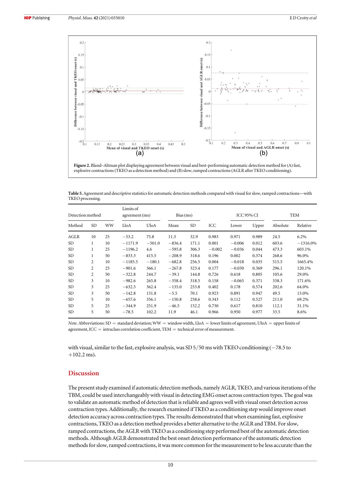<span id="page-10-0"></span>![](_page_10_Figure_3.jpeg)

Table 5. Agreement and descriptive statistics for automatic detection methods compared with visual for slow, ramped contractions—with TKEO processing.

| Detection method |                | Limits of<br>agreement (ms) |           | Bias(ms) |          |           | <b>ICC 95% CI</b> |          | <b>TEM</b> |          |            |
|------------------|----------------|-----------------------------|-----------|----------|----------|-----------|-------------------|----------|------------|----------|------------|
| Method           | SD.            | WW                          | LloA      | UloA     | Mean     | <b>SD</b> | ICC               | Lower    | Upper      | Absolute | Relative   |
| AGLR             | 10             | 25                          | $-53.2$   | 75.8     | 11.3     | 32.9      | 0.983             | 0.971    | 0.989      | 24.5     | 6.2%       |
| <b>SD</b>        | 1              | 10                          | $-1171.9$ | $-501.0$ | $-836.4$ | 171.1     | 0.001             | $-0.006$ | 0.012      | 603.6    | $-1316.0%$ |
| <b>SD</b>        | 1              | 25                          | $-1196.2$ | 4.6      | $-595.8$ | 306.3     | $-0.002$          | $-0.036$ | 0.044      | 473.3    | 603.1%     |
| <b>SD</b>        | 1              | 50                          | $-833.3$  | 415.5    | $-208.9$ | 318.6     | 0.196             | 0.002    | 0.374      | 268.6    | 96.0%      |
| <b>SD</b>        | $\overline{c}$ | 10                          | $-1185.5$ | $-180.1$ | $-682.8$ | 256.5     | 0.004             | $-0.018$ | 0.035      | 515.5    | 1665.4%    |
| <b>SD</b>        | $\overline{c}$ | 25                          | $-901.6$  | 366.1    | $-267.8$ | 323.4     | 0.177             | $-0.030$ | 0.369      | 296.1    | 120.1%     |
| <b>SD</b>        | $\overline{c}$ | 50                          | $-322.8$  | 244.7    | $-39.1$  | 144.8     | 0.726             | 0.618    | 0.805      | 105.6    | 29.0%      |
| <b>SD</b>        | 3              | 10                          | $-982.6$  | 265.8    | $-358.4$ | 318.5     | 0.158             | $-0.065$ | 0.371      | 338.3    | 171.6%     |
| <b>SD</b>        | 3              | 25                          | $-632.5$  | 362.4    | $-135.0$ | 253.8     | 0.402             | 0.178    | 0.574      | 202.6    | 64.0%      |
| <b>SD</b>        | 3              | 50                          | $-142.8$  | 131.8    | $-5.5$   | 70.1      | 0.923             | 0.891    | 0.947      | 49.5     | 13.0%      |
| <b>SD</b>        | 5              | 10                          | $-657.6$  | 356.1    | $-150.8$ | 258.6     | 0.343             | 0.112    | 0.527      | 211.0    | 69.2%      |
| <b>SD</b>        | 5              | 25                          | $-344.9$  | 251.9    | $-46.5$  | 152.2     | 0.730             | 0.617    | 0.810      | 112.1    | 31.1%      |
| <b>SD</b>        | 5              | 50                          | $-78.5$   | 102.2    | 11.9     | 46.1      | 0.966             | 0.950    | 0.977      | 33.5     | 8.6%       |

Note. Abbreviations: SD = standard deviation; WW = window width, LloA = lower limits of agreement, UloA = upper limits of agreement,  $ICC = intraclass correlation coefficient, TEM = technical error of measurement.$ 

with visual, similar to the fast, explosive analysis, was SD 5/50 ms with TKEO conditioning (−78.5 to  $+102.2$  ms).

## Discussion

The present study examined if automatic detection methods, namely AGLR, TKEO, and various iterations of the TBM, could be used interchangeably with visual in detecting EMG onset across contraction types. The goal was to validate an automatic method of detection that is reliable and agrees well with visual onset detection across contraction types. Additionally, the research examined if TKEO as a conditioning step would improve onset detection accuracy across contraction types. The results demonstrated that when examining fast, explosive contractions, TKEO as a detection method provides a better alternative to the AGLR and TBM. For slow, ramped contractions, the AGLR with TKEO as a conditioning step performed best of the automatic detection methods. Although AGLR demonstrated the best onset detection performance of the automatic detection methods for slow, ramped contractions, it was more common for the measurement to be less accurate than the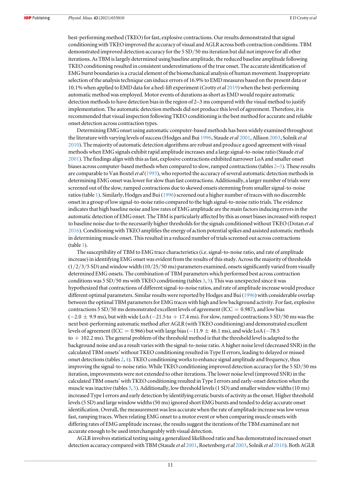best-performing method (TKEO) for fast, explosive contractions. Our results demonstrated that signal conditioning with TKEO improved the accuracy of visual and AGLR across both contraction conditions. TBM demonstrated improved detection accuracy for the 5 SD/50 ms iteration but did not improve for all other iterations. As TBM is largely determined using baseline amplitude, the reduced baseline amplitude following TKEO conditioning resulted in consistent underestimations of the true onset. The accurate identification of EMG burst boundaries is a crucial element of the biomechanical analysis of human movement. Inappropriate selection of the analysis technique can induce errors of 16.9% to EMD measures based on the present data or 10.1% when applied to EMD data for a heel-lift experiment (Crotty et al [2019](#page-13-0)) when the best-performing automatic method was employed. Motor events of durations as short as EMD would require automatic detection methods to have detection bias in the region of 2–3 ms compared with the visual method to justify implementation. The automatic detection methods did not produce this level of agreement. Therefore, it is recommended that visual inspection following TKEO conditioning is the best method for accurate and reliable onset detection across contraction types.

Determining EMG onset using automatic computer-based methods has been widely examined throughout the literature with varying levels of success (Hodges and Bui [1996](#page-14-0), Staude et al [2001](#page-14-0), Allison [2003,](#page-13-0) Solnik et al [2010](#page-14-0)). The majority of automatic detection algorithms are robust and produce a good agreement with visual methods when EMG signals exhibit rapid amplitude increases and a large signal-to-noise ratio (Staude et al [2001](#page-14-0)). The findings align with this as fast, explosive contractions exhibited narrower LoA and smaller onset biases across computer-based methods when compared to slow, ramped contractions(tables [2](#page-8-0)–[5](#page-10-0)). These results are comparable to Van Boxtel et al ([1993](#page-13-0)), who reported the accuracy of several automatic detection methods in determining EMG onset was lower for slow than fast contractions. Additionally, a larger number of trials were screened out of the slow, ramped contractions due to skewed onsets stemming from smaller signal-to-noise ratios (table [1](#page-8-0)). Similarly, Hodges and Bui ([1996](#page-14-0)) screened out a higher number of traces with no discernible onset in a group of low signal-to-noise ratio compared to the high signal-to-noise ratio trials. The evidence indicates that high baseline noise and low rates of EMG amplitude are the main factors inducing errors in the automatic detection of EMG onset. The TBM is particularly affected by this as onset biases increased with respect to baseline noise due to the necessarily higher thresholds for the signals conditioned without TKEO (Dotan et al [2016](#page-13-0)). Conditioning with TKEO amplifies the energy of action potential spikes and assisted automatic methods in determining muscle onset. This resulted in a reduced number of trials screened out across contractions (table [1](#page-8-0)).

The susceptibility of TBM to EMG trace characteristics(i.e. signal-to-noise ratio, and rate of amplitude increase) in identifying EMG onset was evident from the results of this study. Across the majority of thresholds  $(1/2/3/5$  SD) and window width  $(10/25/50$  ms) parameters examined, onsets significantly varied from visually determined EMG onsets. The combination of TBM parameters which performed best across contraction conditions was 5 SD/50 ms with TKEO conditioning (tables [3](#page-9-0), [5](#page-10-0)). This was unexpected since it was hypothesized that contractions of different signal-to-noise ratios, and rate of amplitude increase would produce different optimal parameters. Similar results were reported by Hodges and Bui ([1996](#page-14-0)) with considerable overlap between the optimal TBM parameters for EMG traces with high and low background activity. For fast, explosive contractions 5 SD/50 ms demonstrated excellent levels of agreement (ICC =  $0.987$ ), and low bias  $(-2.0 \pm 9.9 \text{ ms})$ , but with wide LoA  $(-21.5 \text{ to } + 17.4 \text{ ms})$ . For slow, ramped contractions 5 SD/50 ms was the next best-performing automatic method after AGLR (with TKEO conditioning) and demonstrated excellent levels of agreement (ICC = 0.966) but with large bias (−11.9  $\pm$  46.1 ms), and wide LoA (−78.5  $\text{to} + 102.2 \text{ ms}$ ). The general problem of the threshold method is that the threshold level is adapted to the background noise and as a result varies with the signal-to-noise ratio. A higher noise level (decreased SNR) in the calculated TBM onsets'without TKEO conditioning resulted in Type II errors, leading to delayed or missed onset detections(tables [2,](#page-8-0) [4](#page-9-0)). TKEO conditioning works to enhance signal amplitude and frequency, thus improving the signal-to-noise ratio. While TKEO conditioning improved detection accuracy for the 5 SD/50 ms iteration, improvements were not extended to other iterations. The lower noise level (improved SNR) in the calculated TBM onsets'with TKEO conditioning resulted in Type I errors and early-onset detection when the muscle was inactive (tables [3,](#page-9-0) [5](#page-10-0)). Additionally, low threshold levels(1 SD) and smaller window widths(10 ms) increased Type I errors and early detection by identifying erratic bursts of activity as the onset. Higher threshold levels(5 SD) and large window widths(50 ms) ignored short EMG bursts and tended to delay accurate onset identification. Overall, the measurement was less accurate when the rate of amplitude increase was low versus fast, ramping traces. When relating EMG onset to a motor event or when comparing muscle onsets with differing rates of EMG amplitude increase, the results suggest the iterations of the TBM examined are not accurate enough to be used interchangeably with visual detection.

AGLR involves statistical testing using a generalized likelihood ratio and has demonstrated increased onset detection accuracy compared with TBM (Staude et al [2001,](#page-14-0) Roetenberg et al [2003](#page-14-0), Solnik et al [2010](#page-14-0)). Both AGLR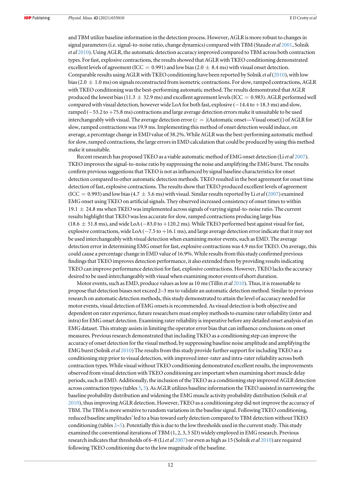and TBM utilize baseline information in the detection process. However, AGLR is more robust to changes in signal parameters (i.e. signal-to-noise ratio, change dynamics) compared with TBM (Staude et al [2001](#page-14-0), Solnik et al [2010](#page-14-0)). Using AGLR, the automatic detection accuracy improved compared to TBM across both contraction types. For fast, explosive contractions, the results showed that AGLR with TKEO conditioning demonstrated excellent levels of agreement (ICC = 0.991) and low bias (2.0  $\pm$  8.4 ms) with visual onset detection. Comparable results using AGLR with TKEO conditioning have been reported by Solnik et al ([2010](#page-14-0)), with low bias (2.0  $\pm$  1.0 ms) on signals reconstructed from isometric contractions. For slow, ramped contractions, AGLR with TKEO conditioning was the best-performing automatic method. The results demonstrated that AGLR produced the lowest bias (11.3  $\pm$  32.9 ms) and excellent agreement levels (ICC = 0.983). AGLR performed well compared with visual detection, however wide LoA for both fast, explosive (−14.4 to +18.3 ms) and slow, ramped (−53.2 to +75.8 ms) contractions and large average detection errors make it unsuitable to be used interchangeably with visual. The average detection error ( $\varepsilon = |($ Automatic onset—Visual onset) $|$ ) of AGLR for slow, ramped contractions was 19.9 ms. Implementing this method of onset detection would induce, on average, a percentage change in EMD value of 38.2%. While AGLR was the best-performing automatic method for slow, ramped contractions, the large errors in EMD calculation that could be produced by using this method make it unsuitable.

Recent research has proposed TKEO as a viable automatic method of EMG onset detection (Li et al [2007](#page-14-0)). TKEO improves the signal-to-noise ratio by suppressing the noise and amplifying the EMG burst. The results confirm previous suggestions that TKEO is not as influenced by signal baseline characteristics for onset detection compared to other automatic detection methods. TKEO resulted in the best agreement for onset time detection of fast, explosive contractions. The results show that TKEO produced excellent levels of agreement (ICC = 0.993) and low bias (4.7  $\pm$  5.6 ms) with visual. Similar results reported by Li *et al* ([2007](#page-14-0)) examined EMG onset using TKEO on artificial signals. They observed increased consistency of onset times to within  $19.1 \pm 24.8$  ms when TKEO was implemented across signals of varying signal-to-noise ratio. The current results highlight that TKEO was less accurate for slow, ramped contractions producing large bias  $(18.6 \pm 51.8 \text{ ms})$ , and wide LoA (−83.0 to +120.2 ms). While TKEO performed best against visual for fast, explosive contractions, wide LoA (−7.5 to +16.1 ms), and large average detection error indicate that it may not be used interchangeably with visual detection when examining motor events, such as EMD. The average detection error in determining EMG onset for fast, explosive contractions was 4.9 ms for TKEO. On average, this could cause a percentage change in EMD value of 16.9%. While results from this study confirmed previous findings that TKEO improves detection performance, it also extended them by providing results indicating TKEO can improve performance detection for fast, explosive contractions. However, TKEO lacks the accuracy desired to be used interchangeably with visual when examining motor events of short duration.

Motor events, such as EMD, produce values as low as 10 ms (Tillin et al [2010](#page-14-0)). Thus, it is reasonable to propose that detection biases not exceed 2–3 ms to validate an automatic detection method. Similar to previous research on automatic detection methods, this study demonstrated to attain the level of accuracy needed for motor events, visual detection of EMG onsets is recommended. As visual detection is both objective and dependent on rater experience, future researchers must employ methods to examine rater reliability (inter and intra) for EMG onset detection. Examining rater reliability is imperative before any detailed onset analysis of an EMG dataset. This strategy assists in limiting the operator error bias that can influence conclusions on onset measures. Previous research demonstrated that including TKEO as a conditioning step can improve the accuracy of onset detection for the visual method, by suppressing baseline noise amplitude and amplifying the EMG burst (Solnik et al [2010](#page-14-0)) The results from this study provide further support for including TKEO as a conditioning step prior to visual detection, with improved inter-rater and intra-rater reliability across both contraction types. While visual without TKEO conditioning demonstrated excellent results, the improvements observed from visual detection with TKEO conditioning are important when examining short muscle delay periods, such as EMD. Additionally, the inclusion of the TKEO as a conditioning step improved AGLR detection across contraction types(tables [3](#page-9-0), [5](#page-10-0)). As AGLR utilizes baseline information the TKEO assisted in narrowing the baseline probability distribution and widening the EMG muscle activity probability distribution (Solnik et al [2010](#page-14-0)), thus improving AGLR detection. However, TKEO as a conditioning step did not improve the accuracy of TBM. The TBM is more sensitive to random variations in the baseline signal. Following TKEO conditioning, reduced baseline amplitudes' led to a bias toward early detection compared to TBM detection without TKEO conditioning (tables [2](#page-8-0)–[5](#page-10-0)). Potentially this is due to the low thresholds used in the current study. This study examined the conventional iterations of TBM (1, 2, 3, 5 SD) widely employed in EMG research. Previous research indicates that thresholds of 6–8 (Liet al [2007](#page-14-0)) or even as high as 15 (Solnik et al [2010](#page-14-0)) are required following TKEO conditioning due to the low magnitude of the baseline.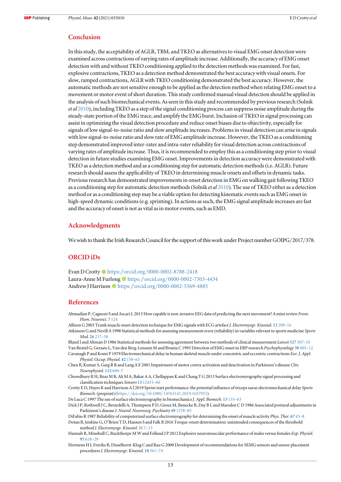## <span id="page-13-0"></span>Conclusion

In this study, the acceptability of AGLR, TBM, and TKEO as alternatives to visual EMG onset detection were examined across contractions of varying rates of amplitude increase. Additionally, the accuracy of EMG onset detection with and without TKEO conditioning applied to the detection methods was examined. For fast, explosive contractions, TKEO as a detection method demonstrated the best accuracy with visual onsets. For slow, ramped contractions, AGLR with TKEO conditioning demonstrated the best accuracy. However, the automatic methods are not sensitive enough to be applied as the detection method when relating EMG onset to a movement or motor event of short duration. This study confirmed manual visual detection should be applied in the analysis of such biomechanical events. As seen in this study and recommended by previous research (Solnik et al [2010](#page-14-0)), including TKEO as a step of the signal conditioning process can suppress noise amplitude during the steady-state portion of the EMG trace, and amplify the EMG burst. Inclusion of TKEO in signal processing can assist in optimizing the visual detection procedure and reduce onset biases due to objectivity, especially for signals of low signal-to-noise ratio and slow amplitude increases. Problems in visual detection can arise in signals with low signal-to-noise ratio and slow rate of EMG amplitude increase. However, the TKEO as a conditioning step demonstrated improved inter-rater and intra-rater reliability for visual detection across contractions of varying rates of amplitude increase. Thus, it is recommended to employ this as a conditioning step prior to visual detection in future studies examining EMG onset. Improvements in detection accuracy were demonstrated with TKEO as a detection method and as a conditioning step for automatic detection methods(i.e. AGLR). Future research should assess the applicability of TKEO in determining muscle onsets and offsets in dynamic tasks. Previous research has demonstrated improvements in onset detection in EMG on walking gait following TKEO as a conditioning step for automatic detection methods (Solnik et al [2010](#page-14-0)). The use of TKEO either as a detection method or as a conditioning step may be a viable option for detecting kinematic events such as EMG onset in high-speed dynamic conditions(e.g. sprinting). In actions as such, the EMG signal amplitude increases are fast and the accuracy of onset is not as vital as in motor events, such as EMD.

## Acknowledgments

We wish to thank the Irish Research Council for the support of this work under Project number GOIPG/2017/378.

## ORCID iDs

Evan D Crotty <sup>to</sup> [https:](https://orcid.org/0000-0002-8788-2418)//orcid.org/[0000-0002-8788-2418](https://orcid.org/0000-0002-8788-2418) Laura-Anne M Furlon[g](https://orcid.org/0000-0002-7303-4434) <sup>to</sup> [https:](https://orcid.org/0000-0002-7303-4434)//orcid.org/[0000-0002-7303-4434](https://orcid.org/0000-0002-7303-4434) Andrew J Harrison C[https:](https://orcid.org/0000-0002-5569-4885)//orcid.org/[0000-0002-5569-4885](https://orcid.org/0000-0002-5569-4885)

## References

- Ahmadian P, Cagnoni S and Ascari L 2013 How capable is non-invasive EEG data of predicting the next movement? A mini review Front. Hum. Neurosci. 7 [124](https://doi.org/10.3389/fnhum.2013.00124)
- Allison G 2003 Trunk muscle onset detection technique for EMG signals with ECG artefact J. Electromyogr. Kinesiol. 13 [209](https://doi.org/10.1016/S1050-6411(03)00019-1)–16
- Atkinson G and Nevill A 1998 Statistical methods for assessing measurement error (reliability) in variables relevant to sports medicine Sports Med. 26 [217](https://doi.org/10.2165/00007256-199826040-00002)–38
- Bland J and Altman D 1986 Statistical methods for assessing agreement between two methods of clinical measurement Lancet [327](https://doi.org/10.1016/S0140-6736(86)90837-8) 307-10 Van Boxtel G, Geraats L, Van den Berg-Lenssen M and Brunia C 1993 Detection of EMG onset in ERP research Psychophysiology 30 [405](https://doi.org/10.1111/j.1469-8986.1993.tb02062.x)–12 Cavanagh P and Komi P 1979 Electromechanical delay in human skeletal muscle under concentric and eccentric contractions Eur. J. Appl.

Physiol. Occup. Physiol. 42 [159](https://doi.org/10.1007/BF00431022)–63

- Chen R, Kumar S, Garg R R and Lang A E 2001 Impairment of motor cortex activation and deactivation in Parkinson's disease Clin. Neurophysiol. [112](https://doi.org/10.1016/S1388-2457(01)00466-7) 600–7
- Chowdhury R H, Reaz M B, Ali M A, Bakar A A, Chellappan K and Chang T G 2013 Surface electromyography signal processing and classification techniques Sensors 13 [12431](https://doi.org/10.3390/s130912431)–66
- Crotty E D, Hayes K and Harrison A J 2019 Sprint start performance: the potential influence of triceps surae electromechanical delay Sports Biomech.(preprint) (https://doi.org/10.1080/[14763141.2019.1657932](https://doi.org/10.1080/14763141.2019.1657932))
- De Luca C 1997 The use of surface electromyography in biomechanics J. Appl. Biomech. 13 [135](https://doi.org/10.1123/jab.13.2.135)-63
- Dick J P, Rothwell J C, Berardelli A, Thompson P D, Gioux M, Benecke R, Day B L and Marsden C D 1986 Associated postural adjustments in Parkinson's disease J. Neurol. Neurosurg. Psychiatry 49 [1378](https://doi.org/10.1136/jnnp.49.12.1378)-85
- DiFabio R 1987 Reliability of computerized surface electromyography for determining the onset of muscle activity Phys. Ther. [67](https://doi.org/10.1093/ptj/67.1.43) 43-8 Dotan R, Jenkins G, O'Brien T D, Hansen S and Falk B 2016 Torque-onset determination: unintended consequences of the threshold method J. Electromyogr. Kinesiol. [31](https://doi.org/10.1016/j.jelekin.2016.08.017) 7–13
- Hannah R, Minshull C, Buckthorpe M W and Folland J P 2012 Explosive neuromuscular performance of males versus females Exp. Physiol. 97 [618](https://doi.org/10.1113/expphysiol.2011.063420)–29
- Hermens H J, Freriks B, Disselhorst-Klug C and Rau G 2000 Development of recommendations for SEMG sensors and sensor placement procedures *J. Electromyogr. Kinesiol.* 10 [361](https://doi.org/10.1016/S1050-6411(00)00027-4)-74